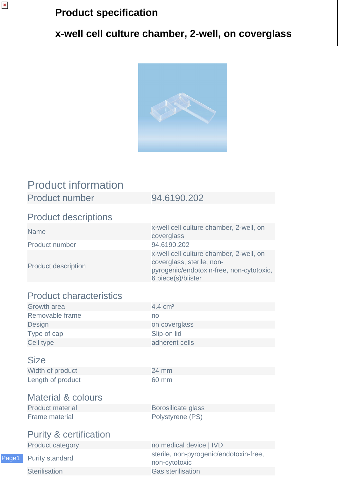# **Product specification**

## **x-well cell culture chamber, 2-well, on coverglass**



# Product information

Product number 94.6190.202

### Product descriptions

 $\pmb{\times}$ 

Product number 94.6190.202

Product description

Name x-well cell culture chamber, 2-well, on coverglass x-well cell culture chamber, 2-well, on coverglass, sterile, nonpyrogenic/endotoxin-free, non-cytotoxic, 6 piece(s)/blister

## Product characteristics

| Growth area     | $4.4 \text{ cm}^2$ |
|-----------------|--------------------|
| Removable frame | no                 |
| Design          | on coverglass      |
| Type of cap     | Slip-on lid        |
| Cell type       | adherent cells     |

#### **Size**

Width of product 24 mm Length of product 60 mm

## Material & colours

Frame material **Polystyrene** (PS)

Product material Borosilicate glass

## Purity & certification

Product category no medical device | IVD

Page1

Purity standard sterile, non-pyrogenic/endotoxin-free, non-cytotoxic **Sterilisation** Gas sterilisation